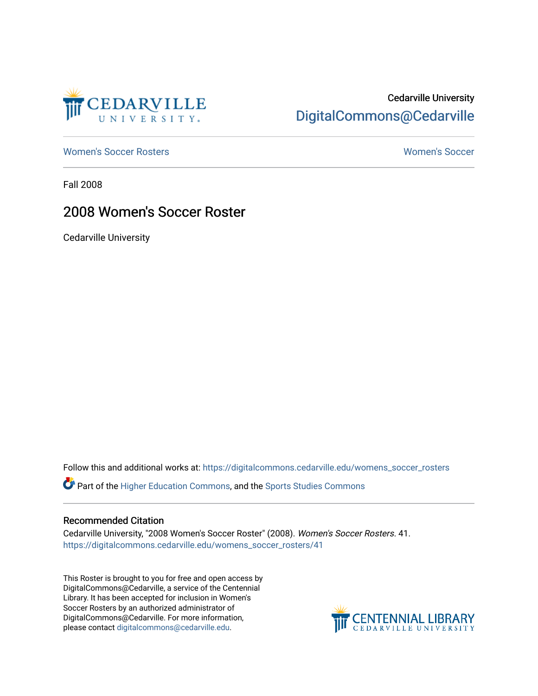

## Cedarville University [DigitalCommons@Cedarville](https://digitalcommons.cedarville.edu/)

[Women's Soccer Rosters](https://digitalcommons.cedarville.edu/womens_soccer_rosters) [Women's Soccer](https://digitalcommons.cedarville.edu/womens_soccer) 

Fall 2008

### 2008 Women's Soccer Roster

Cedarville University

Follow this and additional works at: [https://digitalcommons.cedarville.edu/womens\\_soccer\\_rosters](https://digitalcommons.cedarville.edu/womens_soccer_rosters?utm_source=digitalcommons.cedarville.edu%2Fwomens_soccer_rosters%2F41&utm_medium=PDF&utm_campaign=PDFCoverPages) 

Part of the [Higher Education Commons,](http://network.bepress.com/hgg/discipline/1245?utm_source=digitalcommons.cedarville.edu%2Fwomens_soccer_rosters%2F41&utm_medium=PDF&utm_campaign=PDFCoverPages) and the [Sports Studies Commons](http://network.bepress.com/hgg/discipline/1198?utm_source=digitalcommons.cedarville.edu%2Fwomens_soccer_rosters%2F41&utm_medium=PDF&utm_campaign=PDFCoverPages) 

#### Recommended Citation

Cedarville University, "2008 Women's Soccer Roster" (2008). Women's Soccer Rosters. 41. [https://digitalcommons.cedarville.edu/womens\\_soccer\\_rosters/41](https://digitalcommons.cedarville.edu/womens_soccer_rosters/41?utm_source=digitalcommons.cedarville.edu%2Fwomens_soccer_rosters%2F41&utm_medium=PDF&utm_campaign=PDFCoverPages)

This Roster is brought to you for free and open access by DigitalCommons@Cedarville, a service of the Centennial Library. It has been accepted for inclusion in Women's Soccer Rosters by an authorized administrator of DigitalCommons@Cedarville. For more information, please contact [digitalcommons@cedarville.edu](mailto:digitalcommons@cedarville.edu).